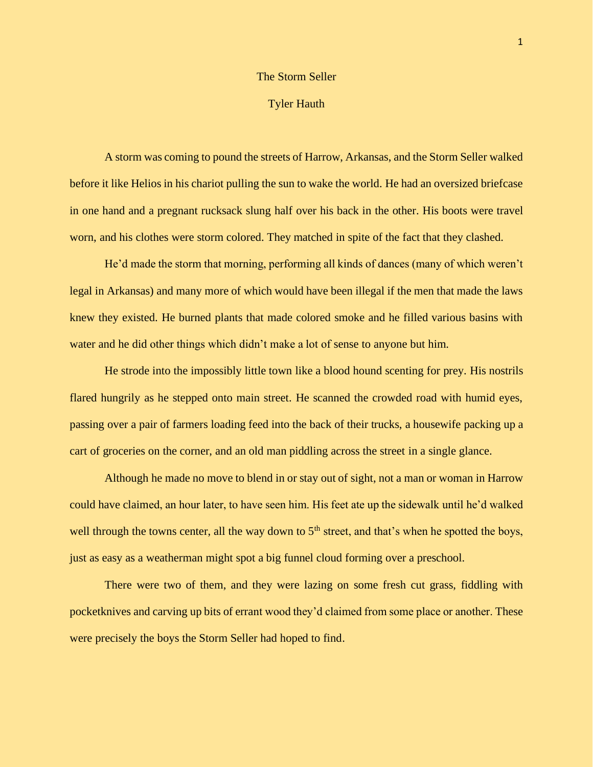## The Storm Seller

## Tyler Hauth

A storm was coming to pound the streets of Harrow, Arkansas, and the Storm Seller walked before it like Helios in his chariot pulling the sun to wake the world. He had an oversized briefcase in one hand and a pregnant rucksack slung half over his back in the other. His boots were travel worn, and his clothes were storm colored. They matched in spite of the fact that they clashed.

He'd made the storm that morning, performing all kinds of dances (many of which weren't legal in Arkansas) and many more of which would have been illegal if the men that made the laws knew they existed. He burned plants that made colored smoke and he filled various basins with water and he did other things which didn't make a lot of sense to anyone but him.

He strode into the impossibly little town like a blood hound scenting for prey. His nostrils flared hungrily as he stepped onto main street. He scanned the crowded road with humid eyes, passing over a pair of farmers loading feed into the back of their trucks, a housewife packing up a cart of groceries on the corner, and an old man piddling across the street in a single glance.

Although he made no move to blend in or stay out of sight, not a man or woman in Harrow could have claimed, an hour later, to have seen him. His feet ate up the sidewalk until he'd walked well through the towns center, all the way down to  $5<sup>th</sup>$  street, and that's when he spotted the boys, just as easy as a weatherman might spot a big funnel cloud forming over a preschool.

There were two of them, and they were lazing on some fresh cut grass, fiddling with pocketknives and carving up bits of errant wood they'd claimed from some place or another. These were precisely the boys the Storm Seller had hoped to find.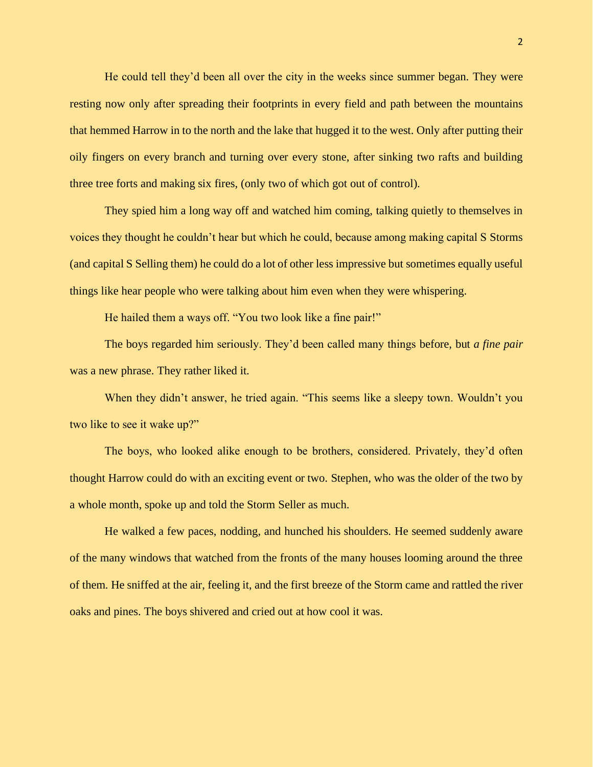He could tell they'd been all over the city in the weeks since summer began. They were resting now only after spreading their footprints in every field and path between the mountains that hemmed Harrow in to the north and the lake that hugged it to the west. Only after putting their oily fingers on every branch and turning over every stone, after sinking two rafts and building three tree forts and making six fires, (only two of which got out of control).

They spied him a long way off and watched him coming, talking quietly to themselves in voices they thought he couldn't hear but which he could, because among making capital S Storms (and capital S Selling them) he could do a lot of other less impressive but sometimes equally useful things like hear people who were talking about him even when they were whispering.

He hailed them a ways off. "You two look like a fine pair!"

The boys regarded him seriously. They'd been called many things before, but *a fine pair* was a new phrase. They rather liked it.

When they didn't answer, he tried again. "This seems like a sleepy town. Wouldn't you two like to see it wake up?"

The boys, who looked alike enough to be brothers, considered. Privately, they'd often thought Harrow could do with an exciting event or two. Stephen, who was the older of the two by a whole month, spoke up and told the Storm Seller as much.

He walked a few paces, nodding, and hunched his shoulders. He seemed suddenly aware of the many windows that watched from the fronts of the many houses looming around the three of them. He sniffed at the air, feeling it, and the first breeze of the Storm came and rattled the river oaks and pines. The boys shivered and cried out at how cool it was.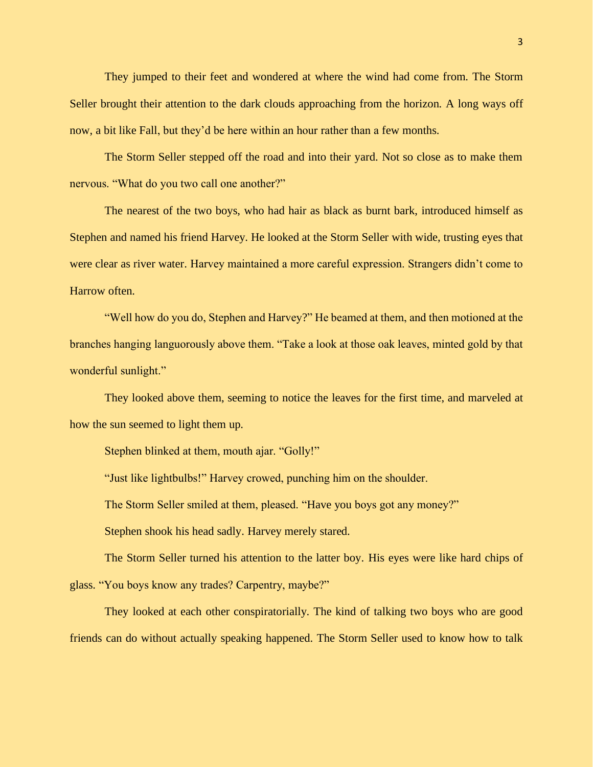They jumped to their feet and wondered at where the wind had come from. The Storm Seller brought their attention to the dark clouds approaching from the horizon. A long ways off now, a bit like Fall, but they'd be here within an hour rather than a few months.

The Storm Seller stepped off the road and into their yard. Not so close as to make them nervous. "What do you two call one another?"

The nearest of the two boys, who had hair as black as burnt bark, introduced himself as Stephen and named his friend Harvey. He looked at the Storm Seller with wide, trusting eyes that were clear as river water. Harvey maintained a more careful expression. Strangers didn't come to Harrow often.

"Well how do you do, Stephen and Harvey?" He beamed at them, and then motioned at the branches hanging languorously above them. "Take a look at those oak leaves, minted gold by that wonderful sunlight."

They looked above them, seeming to notice the leaves for the first time, and marveled at how the sun seemed to light them up.

Stephen blinked at them, mouth ajar. "Golly!"

"Just like lightbulbs!" Harvey crowed, punching him on the shoulder.

The Storm Seller smiled at them, pleased. "Have you boys got any money?"

Stephen shook his head sadly. Harvey merely stared.

The Storm Seller turned his attention to the latter boy. His eyes were like hard chips of glass. "You boys know any trades? Carpentry, maybe?"

They looked at each other conspiratorially. The kind of talking two boys who are good friends can do without actually speaking happened. The Storm Seller used to know how to talk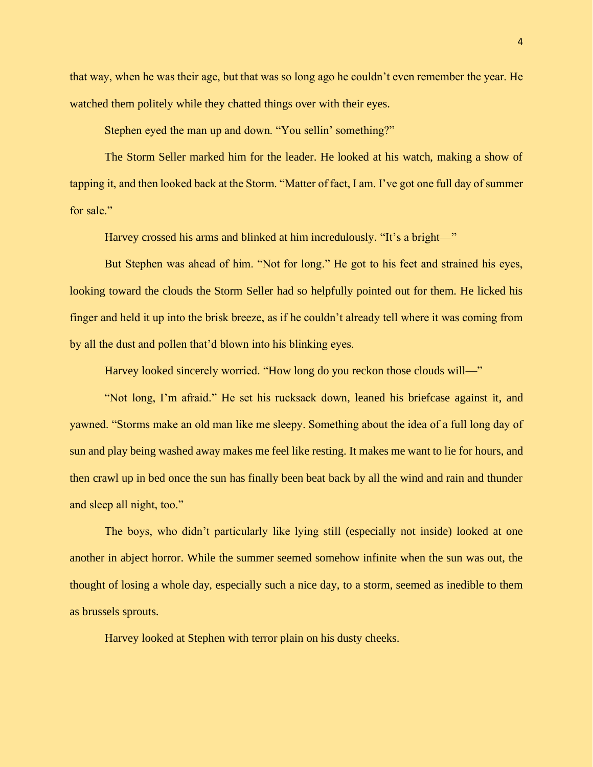that way, when he was their age, but that was so long ago he couldn't even remember the year. He watched them politely while they chatted things over with their eyes.

Stephen eyed the man up and down. "You sellin' something?"

The Storm Seller marked him for the leader. He looked at his watch, making a show of tapping it, and then looked back at the Storm. "Matter of fact, I am. I've got one full day of summer for sale."

Harvey crossed his arms and blinked at him incredulously. "It's a bright—"

But Stephen was ahead of him. "Not for long." He got to his feet and strained his eyes, looking toward the clouds the Storm Seller had so helpfully pointed out for them. He licked his finger and held it up into the brisk breeze, as if he couldn't already tell where it was coming from by all the dust and pollen that'd blown into his blinking eyes.

Harvey looked sincerely worried. "How long do you reckon those clouds will—"

"Not long, I'm afraid." He set his rucksack down, leaned his briefcase against it, and yawned. "Storms make an old man like me sleepy. Something about the idea of a full long day of sun and play being washed away makes me feel like resting. It makes me want to lie for hours, and then crawl up in bed once the sun has finally been beat back by all the wind and rain and thunder and sleep all night, too."

The boys, who didn't particularly like lying still (especially not inside) looked at one another in abject horror. While the summer seemed somehow infinite when the sun was out, the thought of losing a whole day, especially such a nice day, to a storm, seemed as inedible to them as brussels sprouts.

Harvey looked at Stephen with terror plain on his dusty cheeks.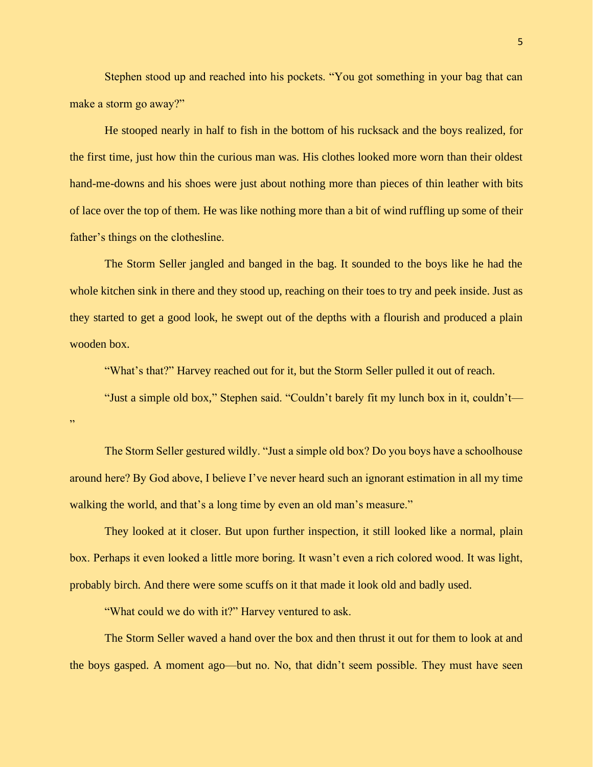Stephen stood up and reached into his pockets. "You got something in your bag that can make a storm go away?"

He stooped nearly in half to fish in the bottom of his rucksack and the boys realized, for the first time, just how thin the curious man was. His clothes looked more worn than their oldest hand-me-downs and his shoes were just about nothing more than pieces of thin leather with bits of lace over the top of them. He was like nothing more than a bit of wind ruffling up some of their father's things on the clothesline.

The Storm Seller jangled and banged in the bag. It sounded to the boys like he had the whole kitchen sink in there and they stood up, reaching on their toes to try and peek inside. Just as they started to get a good look, he swept out of the depths with a flourish and produced a plain wooden box.

"What's that?" Harvey reached out for it, but the Storm Seller pulled it out of reach.

"Just a simple old box," Stephen said. "Couldn't barely fit my lunch box in it, couldn't— "

The Storm Seller gestured wildly. "Just a simple old box? Do you boys have a schoolhouse around here? By God above, I believe I've never heard such an ignorant estimation in all my time walking the world, and that's a long time by even an old man's measure."

They looked at it closer. But upon further inspection, it still looked like a normal, plain box. Perhaps it even looked a little more boring. It wasn't even a rich colored wood. It was light, probably birch. And there were some scuffs on it that made it look old and badly used.

"What could we do with it?" Harvey ventured to ask.

The Storm Seller waved a hand over the box and then thrust it out for them to look at and the boys gasped. A moment ago—but no. No, that didn't seem possible. They must have seen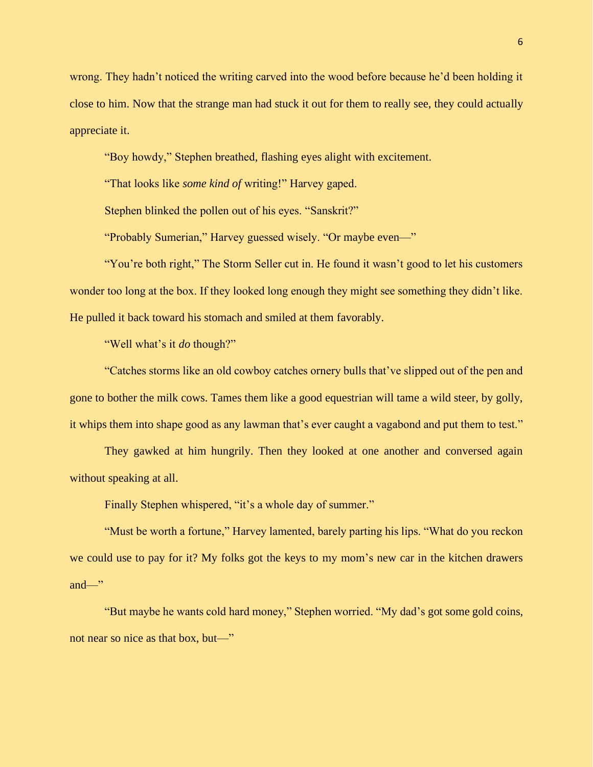wrong. They hadn't noticed the writing carved into the wood before because he'd been holding it close to him. Now that the strange man had stuck it out for them to really see, they could actually appreciate it.

"Boy howdy," Stephen breathed, flashing eyes alight with excitement.

"That looks like *some kind of* writing!" Harvey gaped.

Stephen blinked the pollen out of his eyes. "Sanskrit?"

"Probably Sumerian," Harvey guessed wisely. "Or maybe even—"

"You're both right," The Storm Seller cut in. He found it wasn't good to let his customers wonder too long at the box. If they looked long enough they might see something they didn't like. He pulled it back toward his stomach and smiled at them favorably.

"Well what's it *do* though?"

"Catches storms like an old cowboy catches ornery bulls that've slipped out of the pen and gone to bother the milk cows. Tames them like a good equestrian will tame a wild steer, by golly, it whips them into shape good as any lawman that's ever caught a vagabond and put them to test."

They gawked at him hungrily. Then they looked at one another and conversed again without speaking at all.

Finally Stephen whispered, "it's a whole day of summer."

"Must be worth a fortune," Harvey lamented, barely parting his lips. "What do you reckon we could use to pay for it? My folks got the keys to my mom's new car in the kitchen drawers and—"

"But maybe he wants cold hard money," Stephen worried. "My dad's got some gold coins, not near so nice as that box, but—"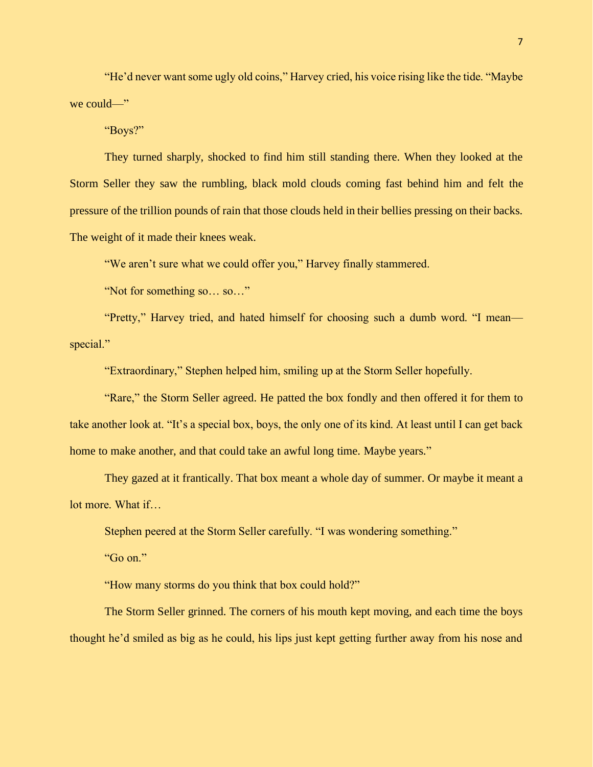"He'd never want some ugly old coins," Harvey cried, his voice rising like the tide. "Maybe we could—"

"Boys?"

They turned sharply, shocked to find him still standing there. When they looked at the Storm Seller they saw the rumbling, black mold clouds coming fast behind him and felt the pressure of the trillion pounds of rain that those clouds held in their bellies pressing on their backs. The weight of it made their knees weak.

"We aren't sure what we could offer you," Harvey finally stammered.

"Not for something so… so…"

"Pretty," Harvey tried, and hated himself for choosing such a dumb word. "I mean special."

"Extraordinary," Stephen helped him, smiling up at the Storm Seller hopefully.

"Rare," the Storm Seller agreed. He patted the box fondly and then offered it for them to take another look at. "It's a special box, boys, the only one of its kind. At least until I can get back home to make another, and that could take an awful long time. Maybe years."

They gazed at it frantically. That box meant a whole day of summer. Or maybe it meant a lot more. What if…

Stephen peered at the Storm Seller carefully. "I was wondering something."

"Go on."

"How many storms do you think that box could hold?"

The Storm Seller grinned. The corners of his mouth kept moving, and each time the boys thought he'd smiled as big as he could, his lips just kept getting further away from his nose and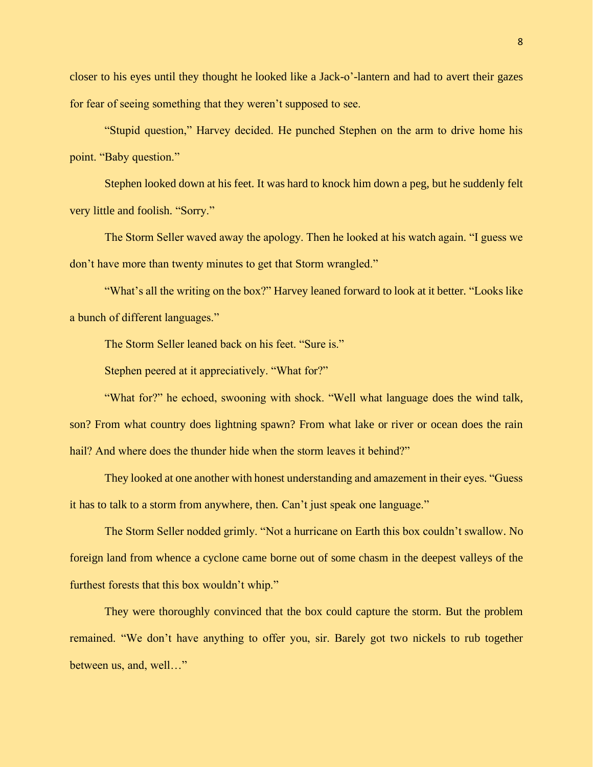closer to his eyes until they thought he looked like a Jack-o'-lantern and had to avert their gazes for fear of seeing something that they weren't supposed to see.

"Stupid question," Harvey decided. He punched Stephen on the arm to drive home his point. "Baby question."

Stephen looked down at his feet. It was hard to knock him down a peg, but he suddenly felt very little and foolish. "Sorry."

The Storm Seller waved away the apology. Then he looked at his watch again. "I guess we don't have more than twenty minutes to get that Storm wrangled."

"What's all the writing on the box?" Harvey leaned forward to look at it better. "Looks like a bunch of different languages."

The Storm Seller leaned back on his feet. "Sure is."

Stephen peered at it appreciatively. "What for?"

"What for?" he echoed, swooning with shock. "Well what language does the wind talk, son? From what country does lightning spawn? From what lake or river or ocean does the rain hail? And where does the thunder hide when the storm leaves it behind?"

They looked at one another with honest understanding and amazement in their eyes. "Guess it has to talk to a storm from anywhere, then. Can't just speak one language."

The Storm Seller nodded grimly. "Not a hurricane on Earth this box couldn't swallow. No foreign land from whence a cyclone came borne out of some chasm in the deepest valleys of the furthest forests that this box wouldn't whip."

They were thoroughly convinced that the box could capture the storm. But the problem remained. "We don't have anything to offer you, sir. Barely got two nickels to rub together between us, and, well…"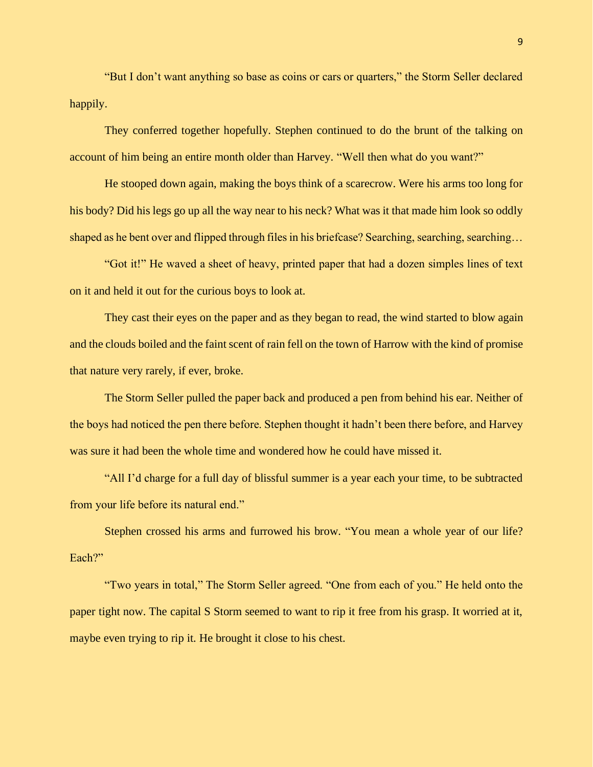"But I don't want anything so base as coins or cars or quarters," the Storm Seller declared happily.

They conferred together hopefully. Stephen continued to do the brunt of the talking on account of him being an entire month older than Harvey. "Well then what do you want?"

He stooped down again, making the boys think of a scarecrow. Were his arms too long for his body? Did his legs go up all the way near to his neck? What was it that made him look so oddly shaped as he bent over and flipped through files in his briefcase? Searching, searching, searching…

"Got it!" He waved a sheet of heavy, printed paper that had a dozen simples lines of text on it and held it out for the curious boys to look at.

They cast their eyes on the paper and as they began to read, the wind started to blow again and the clouds boiled and the faint scent of rain fell on the town of Harrow with the kind of promise that nature very rarely, if ever, broke.

The Storm Seller pulled the paper back and produced a pen from behind his ear. Neither of the boys had noticed the pen there before. Stephen thought it hadn't been there before, and Harvey was sure it had been the whole time and wondered how he could have missed it.

"All I'd charge for a full day of blissful summer is a year each your time, to be subtracted from your life before its natural end."

Stephen crossed his arms and furrowed his brow. "You mean a whole year of our life? Each?"

"Two years in total," The Storm Seller agreed. "One from each of you." He held onto the paper tight now. The capital S Storm seemed to want to rip it free from his grasp. It worried at it, maybe even trying to rip it. He brought it close to his chest.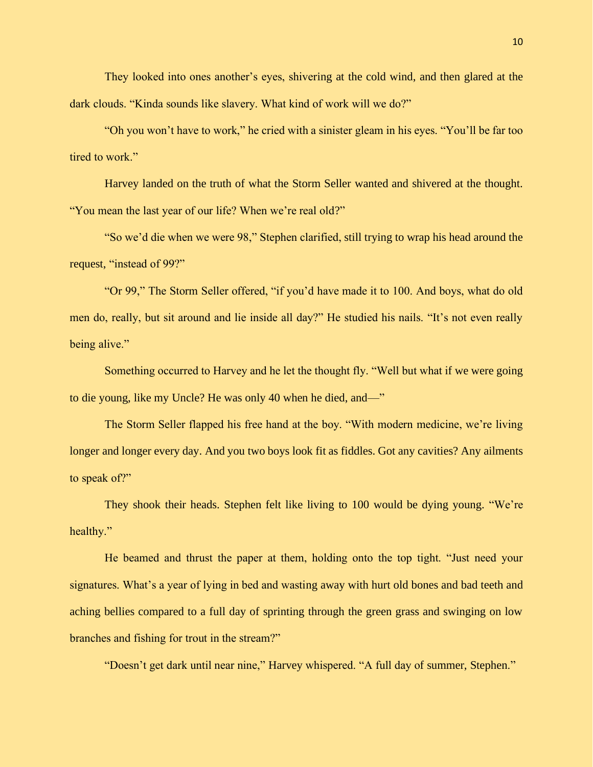They looked into ones another's eyes, shivering at the cold wind, and then glared at the dark clouds. "Kinda sounds like slavery. What kind of work will we do?"

"Oh you won't have to work," he cried with a sinister gleam in his eyes. "You'll be far too tired to work."

Harvey landed on the truth of what the Storm Seller wanted and shivered at the thought. "You mean the last year of our life? When we're real old?"

"So we'd die when we were 98," Stephen clarified, still trying to wrap his head around the request, "instead of 99?"

"Or 99," The Storm Seller offered, "if you'd have made it to 100. And boys, what do old men do, really, but sit around and lie inside all day?" He studied his nails. "It's not even really being alive."

Something occurred to Harvey and he let the thought fly. "Well but what if we were going to die young, like my Uncle? He was only 40 when he died, and—"

The Storm Seller flapped his free hand at the boy. "With modern medicine, we're living longer and longer every day. And you two boys look fit as fiddles. Got any cavities? Any ailments to speak of?"

They shook their heads. Stephen felt like living to 100 would be dying young. "We're healthy."

He beamed and thrust the paper at them, holding onto the top tight. "Just need your signatures. What's a year of lying in bed and wasting away with hurt old bones and bad teeth and aching bellies compared to a full day of sprinting through the green grass and swinging on low branches and fishing for trout in the stream?"

"Doesn't get dark until near nine," Harvey whispered. "A full day of summer, Stephen."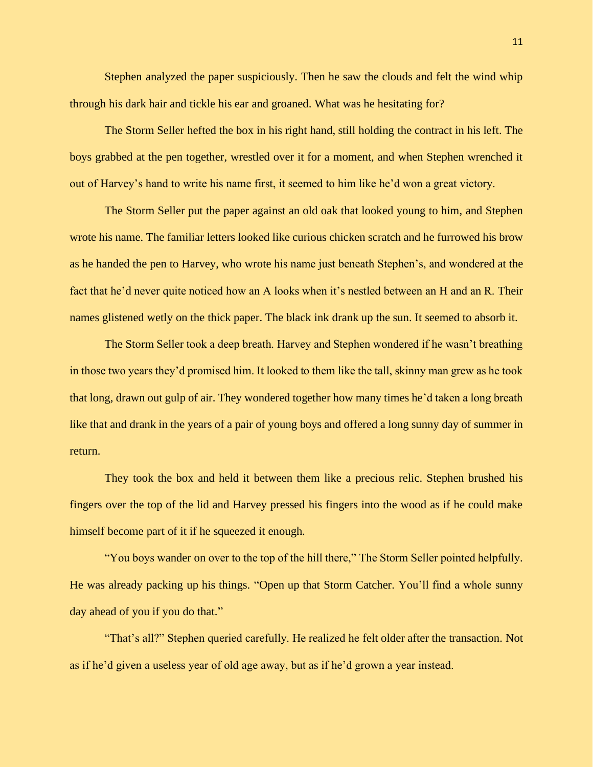Stephen analyzed the paper suspiciously. Then he saw the clouds and felt the wind whip through his dark hair and tickle his ear and groaned. What was he hesitating for?

The Storm Seller hefted the box in his right hand, still holding the contract in his left. The boys grabbed at the pen together, wrestled over it for a moment, and when Stephen wrenched it out of Harvey's hand to write his name first, it seemed to him like he'd won a great victory.

The Storm Seller put the paper against an old oak that looked young to him, and Stephen wrote his name. The familiar letters looked like curious chicken scratch and he furrowed his brow as he handed the pen to Harvey, who wrote his name just beneath Stephen's, and wondered at the fact that he'd never quite noticed how an A looks when it's nestled between an H and an R. Their names glistened wetly on the thick paper. The black ink drank up the sun. It seemed to absorb it.

The Storm Seller took a deep breath. Harvey and Stephen wondered if he wasn't breathing in those two years they'd promised him. It looked to them like the tall, skinny man grew as he took that long, drawn out gulp of air. They wondered together how many times he'd taken a long breath like that and drank in the years of a pair of young boys and offered a long sunny day of summer in return.

They took the box and held it between them like a precious relic. Stephen brushed his fingers over the top of the lid and Harvey pressed his fingers into the wood as if he could make himself become part of it if he squeezed it enough.

"You boys wander on over to the top of the hill there," The Storm Seller pointed helpfully. He was already packing up his things. "Open up that Storm Catcher. You'll find a whole sunny day ahead of you if you do that."

"That's all?" Stephen queried carefully. He realized he felt older after the transaction. Not as if he'd given a useless year of old age away, but as if he'd grown a year instead.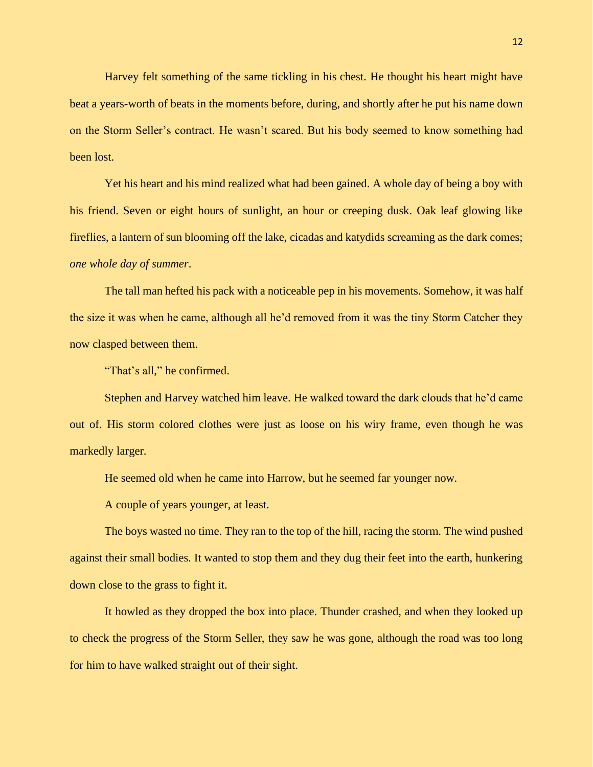Harvey felt something of the same tickling in his chest. He thought his heart might have beat a years-worth of beats in the moments before, during, and shortly after he put his name down on the Storm Seller's contract. He wasn't scared. But his body seemed to know something had been lost.

Yet his heart and his mind realized what had been gained. A whole day of being a boy with his friend. Seven or eight hours of sunlight, an hour or creeping dusk. Oak leaf glowing like fireflies, a lantern of sun blooming off the lake, cicadas and katydids screaming as the dark comes; *one whole day of summer*.

The tall man hefted his pack with a noticeable pep in his movements. Somehow, it was half the size it was when he came, although all he'd removed from it was the tiny Storm Catcher they now clasped between them.

"That's all," he confirmed.

Stephen and Harvey watched him leave. He walked toward the dark clouds that he'd came out of. His storm colored clothes were just as loose on his wiry frame, even though he was markedly larger.

He seemed old when he came into Harrow, but he seemed far younger now.

A couple of years younger, at least.

The boys wasted no time. They ran to the top of the hill, racing the storm. The wind pushed against their small bodies. It wanted to stop them and they dug their feet into the earth, hunkering down close to the grass to fight it.

It howled as they dropped the box into place. Thunder crashed, and when they looked up to check the progress of the Storm Seller, they saw he was gone, although the road was too long for him to have walked straight out of their sight.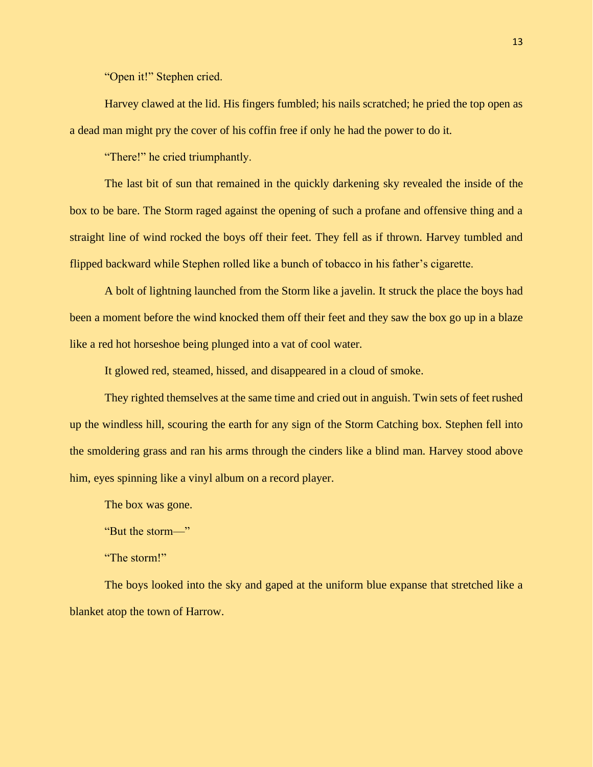"Open it!" Stephen cried.

Harvey clawed at the lid. His fingers fumbled; his nails scratched; he pried the top open as a dead man might pry the cover of his coffin free if only he had the power to do it.

"There!" he cried triumphantly.

The last bit of sun that remained in the quickly darkening sky revealed the inside of the box to be bare. The Storm raged against the opening of such a profane and offensive thing and a straight line of wind rocked the boys off their feet. They fell as if thrown. Harvey tumbled and flipped backward while Stephen rolled like a bunch of tobacco in his father's cigarette.

A bolt of lightning launched from the Storm like a javelin. It struck the place the boys had been a moment before the wind knocked them off their feet and they saw the box go up in a blaze like a red hot horseshoe being plunged into a vat of cool water.

It glowed red, steamed, hissed, and disappeared in a cloud of smoke.

They righted themselves at the same time and cried out in anguish. Twin sets of feet rushed up the windless hill, scouring the earth for any sign of the Storm Catching box. Stephen fell into the smoldering grass and ran his arms through the cinders like a blind man. Harvey stood above him, eyes spinning like a vinyl album on a record player.

The box was gone.

"But the storm—"

"The storm!"

The boys looked into the sky and gaped at the uniform blue expanse that stretched like a blanket atop the town of Harrow.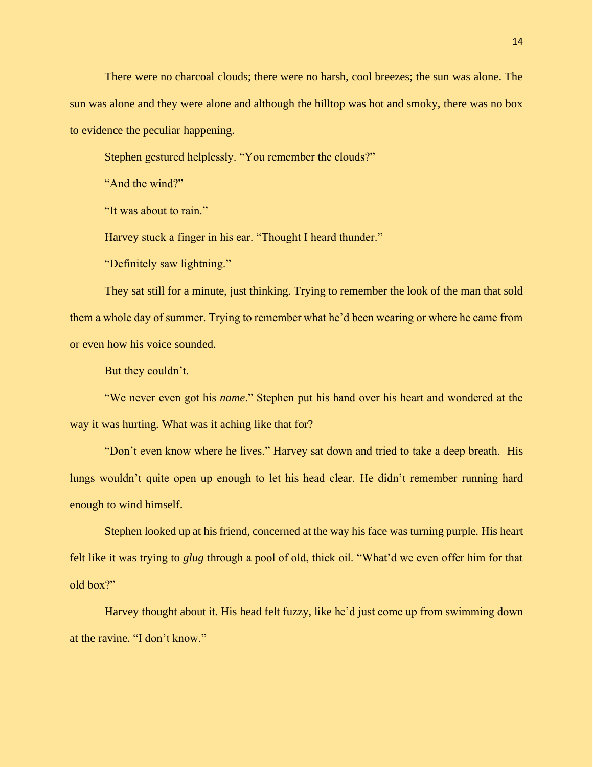There were no charcoal clouds; there were no harsh, cool breezes; the sun was alone. The sun was alone and they were alone and although the hilltop was hot and smoky, there was no box to evidence the peculiar happening.

Stephen gestured helplessly. "You remember the clouds?"

"And the wind?"

"It was about to rain."

Harvey stuck a finger in his ear. "Thought I heard thunder."

"Definitely saw lightning."

They sat still for a minute, just thinking. Trying to remember the look of the man that sold them a whole day of summer. Trying to remember what he'd been wearing or where he came from or even how his voice sounded.

But they couldn't.

"We never even got his *name*." Stephen put his hand over his heart and wondered at the way it was hurting. What was it aching like that for?

"Don't even know where he lives." Harvey sat down and tried to take a deep breath. His lungs wouldn't quite open up enough to let his head clear. He didn't remember running hard enough to wind himself.

Stephen looked up at his friend, concerned at the way his face was turning purple. His heart felt like it was trying to *glug* through a pool of old, thick oil. "What'd we even offer him for that old box?"

Harvey thought about it. His head felt fuzzy, like he'd just come up from swimming down at the ravine. "I don't know."